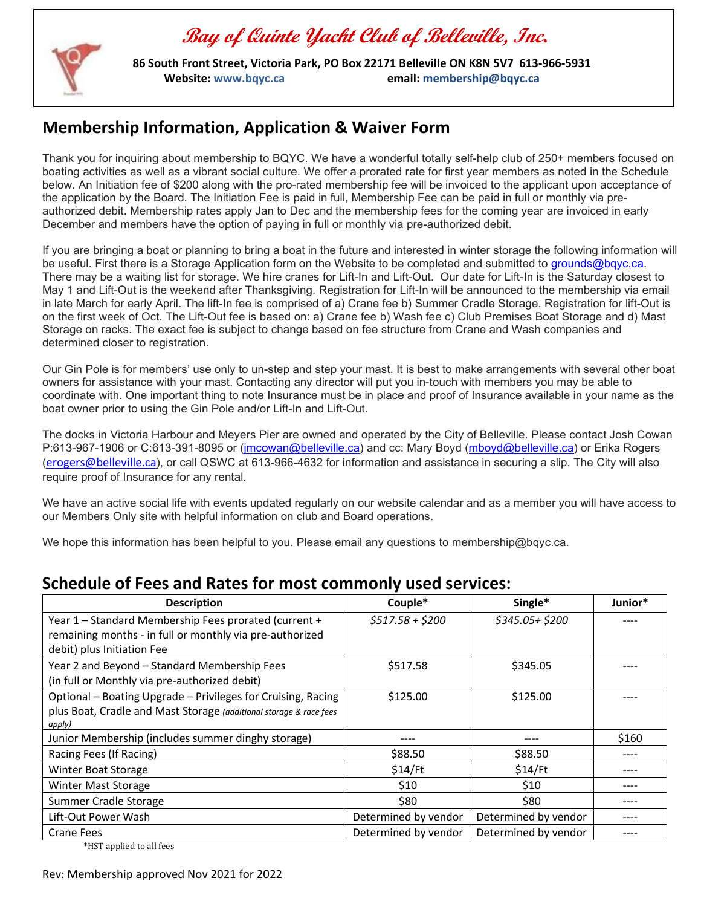

 **86 South Front Street, Victoria Park, PO Box 22171 Belleville ON K8N 5V7 613-966-5931 Website[: www.bqyc.ca](http://www.bqyc.ca/) email: [membership@bqyc.ca](mailto:membership@bqyc.ca)**

### **Membership Information, Application & Waiver Form**

Thank you for inquiring about membership to BQYC. We have a wonderful totally self-help club of 250+ members focused on boating activities as well as a vibrant social culture. We offer a prorated rate for first year members as noted in the Schedule below. An Initiation fee of \$200 along with the pro-rated membership fee will be invoiced to the applicant upon acceptance of the application by the Board. The Initiation Fee is paid in full, Membership Fee can be paid in full or monthly via preauthorized debit. Membership rates apply Jan to Dec and the membership fees for the coming year are invoiced in early December and members have the option of paying in full or monthly via pre-authorized debit.

If you are bringing a boat or planning to bring a boat in the future and interested in winter storage the following information will be useful. First there is a Storage Application form on the Website to be completed and submitted to [grounds@bqyc.ca.](mailto:grounds@bqyc.ca) There may be a waiting list for storage. We hire cranes for Lift-In and Lift-Out. Our date for Lift-In is the Saturday closest to May 1 and Lift-Out is the weekend after Thanksgiving. Registration for Lift-In will be announced to the membership via email in late March for early April. The lift-In fee is comprised of a) Crane fee b) Summer Cradle Storage. Registration for lift-Out is on the first week of Oct. The Lift-Out fee is based on: a) Crane fee b) Wash fee c) Club Premises Boat Storage and d) Mast Storage on racks. The exact fee is subject to change based on fee structure from Crane and Wash companies and determined closer to registration.

Our Gin Pole is for members' use only to un-step and step your mast. It is best to make arrangements with several other boat owners for assistance with your mast. Contacting any director will put you in-touch with members you may be able to coordinate with. One important thing to note Insurance must be in place and proof of Insurance available in your name as the boat owner prior to using the Gin Pole and/or Lift-In and Lift-Out.

The docks in Victoria Harbour and Meyers Pier are owned and operated by the City of Belleville. Please contact Josh Cowan P:613-967-1906 or C:613-391-8095 or [\(jmcowan@belleville.ca\)](mailto:jmcowan@belleville.ca) and cc: Mary Boyd [\(mboyd@belleville.ca\)](mailto:mboyd@belleville.ca) or Erika Rogers (erogers@belleville.ca), or call QSWC at 613-966-4632 for information and assistance in securing a slip. The City will also require proof of Insurance for any rental.

We have an active social life with events updated regularly on our website calendar and as a member you will have access to our Members Only site with helpful information on club and Board operations.

We hope this information has been helpful to you. Please email any questions to membership@bqyc.ca.

#### **Description Couple\* Single\* Junior\*** Year 1 – Standard Membership Fees prorated (current + remaining months - in full or monthly via pre-authorized debit) plus Initiation Fee *\$517.58 + \$200 \$345.05+ \$200* ---- Year 2 and Beyond – Standard Membership Fees (in full or Monthly via pre-authorized debit)  $$517.58$   $$345.05$ Optional – Boating Upgrade – Privileges for Cruising, Racing plus Boat, Cradle and Mast Storage *(additional storage & race fees apply)*  $$125.00$   $$125.00$   $\qquad$ Junior Membership (includes summer dinghy storage)  $\qquad \qquad$  ----  $\qquad \qquad$  ----  $\qquad \qquad$  \$160 Racing Fees (If Racing)  $\begin{array}{ccc} 88.50 \end{array}$   $\begin{array}{ccc} 588.50 \end{array}$   $\begin{array}{ccc} 588.50 \end{array}$ Winter Boat Storage \$14/Ft \$14/Ft ---- Winter Mast Storage \$10 \$10 ---- Summer Cradle Storage \$80 \$80 ---- Lift-Out Power Wash **Determined by vendor |** Determined by vendor | ----Crane Fees **Determined by vendor |** Determined by vendor | 2008 | 2009 | 2009 | 2009 | 2009 | 2009 | 2009 | 2009

#### **Schedule of Fees and Rates for most commonly used services:**

**\***HST applied to all fees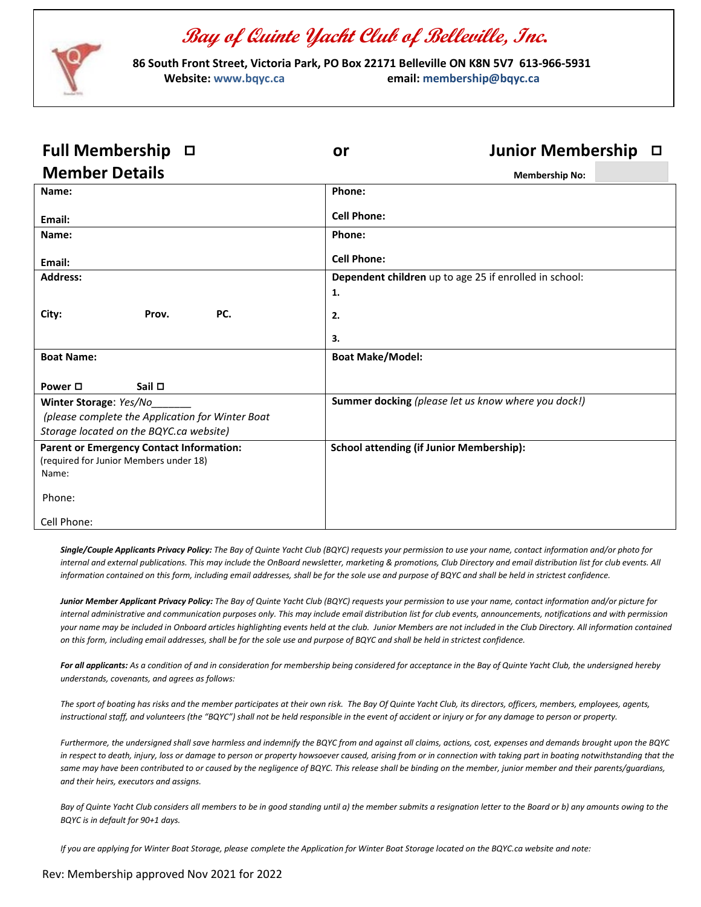

 **86 South Front Street, Victoria Park, PO Box 22171 Belleville ON K8N 5V7 613-966-5931 Website[: www.bqyc.ca](http://www.bqyc.ca/) email: [membership@bqyc.ca](mailto:membership@bqyc.ca)**

| <b>Full Membership</b><br>$\Box$                                                          | Junior Membership $\Box$<br>or                         |  |
|-------------------------------------------------------------------------------------------|--------------------------------------------------------|--|
| <b>Member Details</b>                                                                     | <b>Membership No:</b>                                  |  |
| Name:                                                                                     | Phone:                                                 |  |
| Email:                                                                                    | <b>Cell Phone:</b>                                     |  |
| Name:                                                                                     | Phone:                                                 |  |
| Email:                                                                                    | <b>Cell Phone:</b>                                     |  |
| <b>Address:</b>                                                                           | Dependent children up to age 25 if enrolled in school: |  |
|                                                                                           | 1.                                                     |  |
| City:<br>PC.<br>Prov.                                                                     | 2.                                                     |  |
|                                                                                           | 3.                                                     |  |
| <b>Boat Name:</b>                                                                         | <b>Boat Make/Model:</b>                                |  |
| Power □<br>Sail $\Box$                                                                    |                                                        |  |
| Winter Storage: Yes/No                                                                    | Summer docking (please let us know where you dock!)    |  |
| (please complete the Application for Winter Boat                                          |                                                        |  |
| Storage located on the BQYC.ca website)                                                   |                                                        |  |
| <b>Parent or Emergency Contact Information:</b><br>(required for Junior Members under 18) | <b>School attending (if Junior Membership):</b>        |  |
| Name:                                                                                     |                                                        |  |
| Phone:                                                                                    |                                                        |  |
| Cell Phone:                                                                               |                                                        |  |

*Single/Couple Applicants Privacy Policy: The Bay of Quinte Yacht Club (BQYC) requests your permission to use your name, contact information and/or photo for internal and external publications. This may include the OnBoard newsletter, marketing & promotions, Club Directory and email distribution list for club events. All information contained on this form, including email addresses, shall be for the sole use and purpose of BQYC and shall be held in strictest confidence.* 

*Junior Member Applicant Privacy Policy: The Bay of Quinte Yacht Club (BQYC) requests your permission to use your name, contact information and/or picture for internal administrative and communication purposes only. This may include email distribution list for club events, announcements, notifications and with permission your name may be included in Onboard articles highlighting events held at the club. Junior Members are not included in the Club Directory. All information contained on this form, including email addresses, shall be for the sole use and purpose of BQYC and shall be held in strictest confidence.*

*For all applicants: As a condition of and in consideration for membership being considered for acceptance in the Bay of Quinte Yacht Club, the undersigned hereby understands, covenants, and agrees as follows:*

*The sport of boating has risks and the member participates at their own risk. The Bay Of Quinte Yacht Club, its directors, officers, members, employees, agents, instructional staff, and volunteers (the "BQYC") shall not be held responsible in the event of accident or injury or for any damage to person or property.*

*Furthermore, the undersigned shall save harmless and indemnify the BQYC from and against all claims, actions, cost, expenses and demands brought upon the BQYC in respect to death, injury, loss or damage to person or property howsoever caused, arising from or in connection with taking part in boating notwithstanding that the*  same may have been contributed to or caused by the negligence of BQYC. This release shall be binding on the member, junior member and their parents/guardians, *and their heirs, executors and assigns.*

*Bay of Quinte Yacht Club considers all members to be in good standing until a) the member submits a resignation letter to the Board or b) any amounts owing to the BQYC is in default for 90+1 days.* 

*If you are applying for Winter Boat Storage, please complete the Application for Winter Boat Storage located on the BQYC.ca website and note:*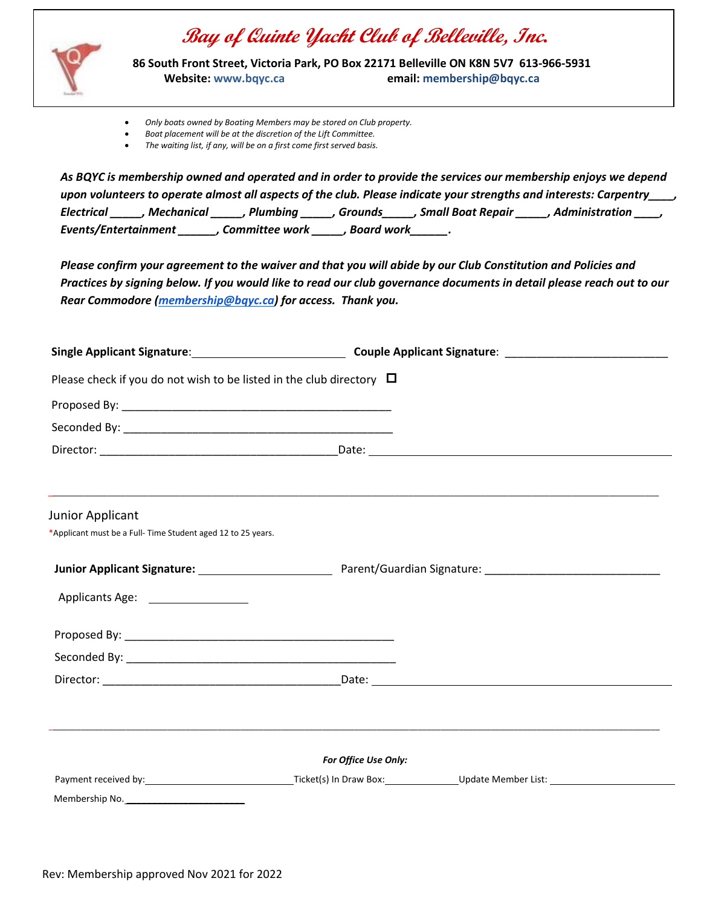

 **86 South Front Street, Victoria Park, PO Box 22171 Belleville ON K8N 5V7 613-966-5931 Website[: www.bqyc.ca](http://www.bqyc.ca/) email: [membership@bqyc.ca](mailto:membership@bqyc.ca)**

- *Only boats owned by Boating Members may be stored on Club property.*
- *Boat placement will be at the discretion of the Lift Committee.*
- *The waiting list, if any, will be on a first come first served basis.*

*As BQYC is membership owned and operated and in order to provide the services our membership enjoys we depend upon volunteers to operate almost all aspects of the club. Please indicate your strengths and interests: Carpentry\_\_\_\_, Electrical \_\_\_\_\_, Mechanical \_\_\_\_\_, Plumbing \_\_\_\_\_, Grounds\_\_\_\_\_, Small Boat Repair \_\_\_\_\_, Administration \_\_\_\_, Events/Entertainment \_\_\_\_\_\_, Committee work \_\_\_\_\_, Board work\_\_\_\_\_\_.*

*Please confirm your agreement to the waiver and that you will abide by our Club Constitution and Policies and Practices by signing below. If you would like to read our club governance documents in detail please reach out to our Rear Commodore [\(membership@bqyc.ca\)](mailto:membership@bqyc.ca) for access. Thank you.*

| Please check if you do not wish to be listed in the club directory $\Box$               |  |                                                                                  |
|-----------------------------------------------------------------------------------------|--|----------------------------------------------------------------------------------|
|                                                                                         |  |                                                                                  |
|                                                                                         |  |                                                                                  |
|                                                                                         |  |                                                                                  |
| <b>Junior Applicant</b><br>*Applicant must be a Full- Time Student aged 12 to 25 years. |  | ,我们也不能会在这里,我们的人们就会不能会在这里,我们也不能会不能会不能会不能会不能会不能会不能会。""我们的人们就会不能会不能会不能会不能会不能会不能会不能会 |
|                                                                                         |  |                                                                                  |
| Applicants Age: _________________                                                       |  |                                                                                  |
|                                                                                         |  |                                                                                  |
|                                                                                         |  |                                                                                  |
|                                                                                         |  |                                                                                  |
|                                                                                         |  |                                                                                  |
| For Office Use Only:                                                                    |  |                                                                                  |
|                                                                                         |  |                                                                                  |
| Membership No.                                                                          |  |                                                                                  |
|                                                                                         |  |                                                                                  |